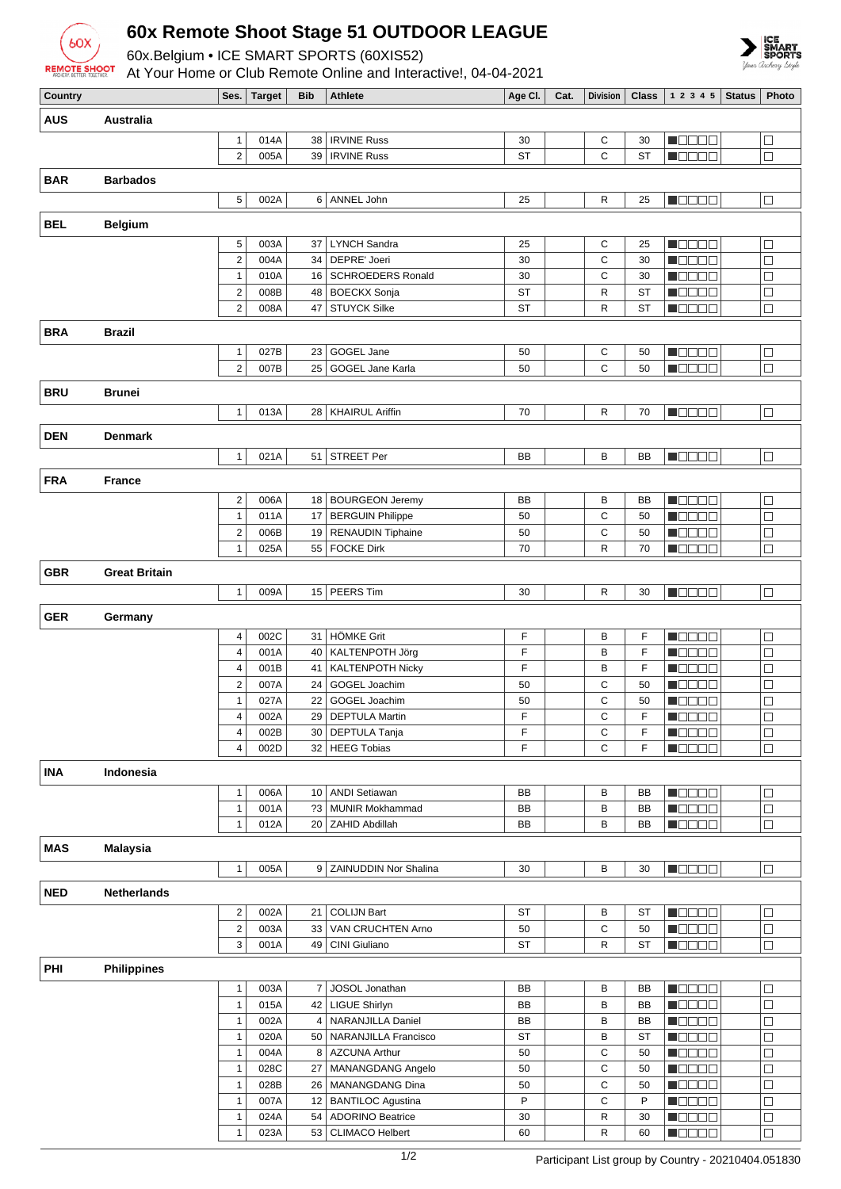

## **60x Remote Shoot Stage 51 OUTDOOR LEAGUE**

60x.Belgium • ICE SMART SPORTS (60XIS52)



| <b>REMOTE SHOOT</b> |                      |                              |              |            | <b>COXIDOIGIONI TOL ONIT INTERNATION COOXIDOL!</b><br>At Your Home or Club Remote Online and Interactive!, 04-04-2021 |          |      |                 |              |                                              |               | Your Archery Sty |
|---------------------|----------------------|------------------------------|--------------|------------|-----------------------------------------------------------------------------------------------------------------------|----------|------|-----------------|--------------|----------------------------------------------|---------------|------------------|
| Country             |                      |                              | Ses. Target  | <b>Bib</b> | <b>Athlete</b>                                                                                                        | Age Cl.  | Cat. | <b>Division</b> | <b>Class</b> | 1 2 3 4 5                                    | <b>Status</b> | Photo            |
| AUS                 | <b>Australia</b>     |                              |              |            |                                                                                                                       |          |      |                 |              |                                              |               |                  |
|                     |                      | $\mathbf{1}$                 | 014A         | 38         | <b>IRVINE Russ</b>                                                                                                    | 30       |      | С               | 30           | n oo oo a                                    |               | □                |
|                     |                      | $\overline{2}$               | 005A         |            | 39   IRVINE Russ                                                                                                      | ST       |      | С               | <b>ST</b>    | <b>M</b> ODOO                                |               | $\Box$           |
|                     |                      |                              |              |            |                                                                                                                       |          |      |                 |              |                                              |               |                  |
| <b>BAR</b>          | <b>Barbados</b>      |                              |              |            |                                                                                                                       |          |      |                 |              |                                              |               |                  |
|                     |                      | 5                            | 002A         |            | 6 ANNEL John                                                                                                          | 25       |      | R               | 25           | <b>M</b> OOOC                                |               | $\Box$           |
| BEL                 | <b>Belgium</b>       |                              |              |            |                                                                                                                       |          |      |                 |              |                                              |               |                  |
|                     |                      | 5                            | 003A         |            | 37   LYNCH Sandra                                                                                                     | 25       |      | С               | 25           | M B B B B                                    |               | $\Box$           |
|                     |                      | $\overline{2}$               | 004A         |            | 34   DEPRE' Joeri                                                                                                     | 30       |      | C               | 30           | <b>M</b> OOOC                                |               | $\Box$           |
|                     |                      | $\mathbf{1}$                 | 010A         |            | 16   SCHROEDERS Ronald                                                                                                | 30       |      | С               | 30           | N O O O O                                    |               | $\Box$           |
|                     |                      | $\overline{\mathbf{c}}$      | 008B         |            | 48   BOECKX Sonja                                                                                                     | ST       |      | R               | ST           | $\blacksquare$ $\square$ $\square$ $\square$ |               | $\Box$           |
|                     |                      | $\overline{2}$               | 008A         |            | 47 STUYCK Silke                                                                                                       | ST       |      | R               | <b>ST</b>    | <b>MODDE</b>                                 |               | $\Box$           |
| <b>BRA</b>          | <b>Brazil</b>        |                              |              |            |                                                                                                                       |          |      |                 |              |                                              |               |                  |
|                     |                      | $\mathbf{1}$                 | 027B         | 23         | GOGEL Jane                                                                                                            | 50       |      | С               | 50           | M B B B B                                    |               | $\Box$           |
|                     |                      | $\overline{2}$               | 007B         |            | 25   GOGEL Jane Karla                                                                                                 | 50       |      | С               | 50           | n oo oo a                                    |               | $\Box$           |
| BRU                 | <b>Brunei</b>        |                              |              |            |                                                                                                                       |          |      |                 |              |                                              |               |                  |
|                     |                      |                              |              |            |                                                                                                                       |          |      |                 |              |                                              |               |                  |
|                     |                      | $\mathbf{1}$                 | 013A         |            | 28   KHAIRUL Ariffin                                                                                                  | 70       |      | R               | 70           | n da ac                                      |               | $\Box$           |
| <b>DEN</b>          | <b>Denmark</b>       |                              |              |            |                                                                                                                       |          |      |                 |              |                                              |               |                  |
|                     |                      | $\mathbf{1}$                 | 021A         |            | 51 STREET Per                                                                                                         | BB       |      | В               | BB           | <b>H</b> OOOO                                |               | $\Box$           |
| <b>FRA</b>          | <b>France</b>        |                              |              |            |                                                                                                                       |          |      |                 |              |                                              |               |                  |
|                     |                      |                              |              |            |                                                                                                                       |          |      |                 |              |                                              |               |                  |
|                     |                      | 2<br>$\mathbf{1}$            | 006A<br>011A |            | 18 BOURGEON Jeremy<br>17 BERGUIN Philippe                                                                             | BB<br>50 |      | В<br>C          | BB<br>50     | M B B B B<br>M O O O O                       |               | □<br>□           |
|                     |                      | 2                            | 006B         |            | 19 RENAUDIN Tiphaine                                                                                                  | 50       |      | С               | 50           | N DE BE                                      |               | $\Box$           |
|                     |                      | 1                            | 025A         |            | 55   FOCKE Dirk                                                                                                       | 70       |      | R               | 70           | N B B B E                                    |               | $\Box$           |
|                     |                      |                              |              |            |                                                                                                                       |          |      |                 |              |                                              |               |                  |
| GBR                 | <b>Great Britain</b> |                              |              |            |                                                                                                                       |          |      |                 |              |                                              |               |                  |
|                     |                      | $\mathbf{1}$                 | 009A         |            | 15 PEERS Tim                                                                                                          | 30       |      | R               | 30           | <b>MODOO</b>                                 |               | $\Box$           |
| <b>GER</b>          | Germany              |                              |              |            |                                                                                                                       |          |      |                 |              |                                              |               |                  |
|                     |                      | 4                            | 002C         |            | 31 HÖMKE Grit                                                                                                         | F        |      | В               | F            | M OO OO                                      |               | $\Box$           |
|                     |                      | 4                            | 001A         |            | 40   KALTENPOTH Jörg                                                                                                  | F        |      | В               | F            | <b>MODDE</b>                                 |               | $\Box$           |
|                     |                      | 4                            | 001B         |            | 41   KALTENPOTH Nicky                                                                                                 | F        |      | В               | F            | n de e e                                     |               | $\Box$           |
|                     |                      | 2                            | 007A         |            | 24 GOGEL Joachim                                                                                                      | 50       |      | С               | 50           | N DE DE                                      |               | $\Box$           |
|                     |                      | $\mathbf{1}$                 | 027A         | 22         | GOGEL Joachim                                                                                                         | 50       |      | С               | 50           | M B B B B                                    |               | □                |
|                     |                      | 4                            | 002A         |            | 29   DEPTULA Martin                                                                                                   | F        |      | С               | F            | n oo oo a                                    |               | $\Box$           |
|                     |                      | 4                            | 002B         |            | 30   DEPTULA Tanja                                                                                                    | F        |      | С               | F            | n de de                                      |               | $\Box$           |
|                     |                      | 4                            | 002D         |            | 32 HEEG Tobias                                                                                                        | F        |      | C               | F            | $\blacksquare$                               |               | $\Box$           |
| INA                 | Indonesia            |                              |              |            |                                                                                                                       |          |      |                 |              |                                              |               |                  |
|                     |                      | $\mathbf{1}$                 | 006A         | 10         | <b>ANDI Setiawan</b>                                                                                                  | BB       |      | В               | BB           | M O O O O                                    |               | $\Box$           |
|                     |                      | $\mathbf{1}$                 | 001A         | ?3         | <b>MUNIR Mokhammad</b>                                                                                                | BB       |      | B               | BB           | n de de                                      |               | □                |
|                     |                      | $\mathbf{1}$                 | 012A         |            | 20   ZAHID Abdillah                                                                                                   | BB       |      | B               | BB           | <b>M</b> OOOO                                |               | $\Box$           |
| MAS                 | <b>Malaysia</b>      |                              |              |            |                                                                                                                       |          |      |                 |              |                                              |               |                  |
|                     |                      | $\mathbf{1}$                 | 005A         |            | 9   ZAINUDDIN Nor Shalina                                                                                             | 30       |      | В               | 30           | n da a a                                     |               | $\Box$           |
|                     |                      |                              |              |            |                                                                                                                       |          |      |                 |              |                                              |               |                  |
| NED                 | <b>Netherlands</b>   |                              |              |            |                                                                                                                       |          |      |                 |              |                                              |               |                  |
|                     |                      | 2                            | 002A         | 21         | <b>COLIJN Bart</b>                                                                                                    | ST       |      | В               | ST           | N OO O C                                     |               | $\Box$           |
|                     |                      | $\mathbf 2$                  | 003A         | 33         | VAN CRUCHTEN Arno                                                                                                     | 50       |      | C               | 50           | Maaaa                                        |               | $\Box$           |
|                     |                      | 3                            | 001A         | 49         | CINI Giuliano                                                                                                         | ST       |      | R               | ST           | <b>M</b> OOOO                                |               | $\Box$           |
| PHI                 | <b>Philippines</b>   |                              |              |            |                                                                                                                       |          |      |                 |              |                                              |               |                  |
|                     |                      | $\mathbf{1}$                 | 003A         | 7          | JOSOL Jonathan                                                                                                        | BB       |      | B               | BB           | ME BEL                                       |               | $\Box$           |
|                     |                      | $\mathbf{1}$                 | 015A         |            | 42   LIGUE Shirlyn                                                                                                    | BB       |      | B               | <b>BB</b>    | <b>M</b> OOOC                                |               | $\Box$           |
|                     |                      | $\mathbf{1}$                 | 002A         | 4          | NARANJILLA Daniel                                                                                                     | BB       |      | В               | BB           | M BE BE                                      |               | □                |
|                     |                      | $\mathbf{1}$                 | 020A         |            | 50   NARANJILLA Francisco                                                                                             | ST       |      | B               | ST           | <b>NOBED</b>                                 |               | $\Box$           |
|                     |                      | $\mathbf{1}$                 | 004A         | 8          | <b>AZCUNA Arthur</b>                                                                                                  | 50       |      | С               | 50           | <b>NOBED</b>                                 |               | $\Box$           |
|                     |                      | $\mathbf{1}$                 | 028C         |            | 27   MANANGDANG Angelo                                                                                                | 50       |      | С               | 50           | M OOOO                                       |               | □                |
|                     |                      | $\mathbf{1}$<br>$\mathbf{1}$ | 028B<br>007A |            | 26   MANANGDANG Dina<br>12   BANTILOC Agustina                                                                        | 50<br>P  |      | С<br>С          | 50<br>P      | M OO OO                                      |               | $\Box$<br>$\Box$ |
|                     |                      |                              |              |            |                                                                                                                       |          |      |                 |              | <u>maanaa</u>                                |               |                  |

1 024A 54 ADORINO Beatrice 30 R 30 1 023A 53 CLIMACO Helbert 60 R 60  $\blacksquare$ <br/> $\blacksquare$ 

 $\blacksquare$ 

 $\Box$ 

 $\Box$